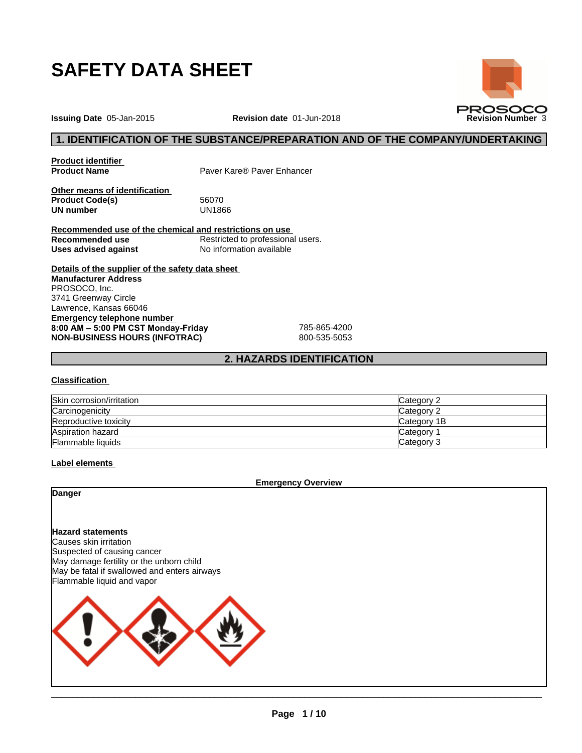

**Issuing Date** 05-Jan-2015 **Revision date** 01-Jun-2018 **Revision Number** 3

# **1. IDENTIFICATION OF THE SUBSTANCE/PREPARATION AND OF THE COMPANY/UNDERTAKING**

**PROSOCO** 

**Product identifier**

**Product Name** Paver Kare® Paver Enhancer

**Other means of identification**<br>**Product Code(s)** 56070 Product Code(s) 56070<br> **UN number** UN1866 **UN number** 

**Recommended use of the chemical and restrictions on use Recommended use**<br> **Uses advised against**<br> **No information available No information available** 

**Details of the supplier of the safety data sheet Emergency telephone number 8:00AM–5:00PMCSTMonday-Friday** 785-865-4200 **NON-BUSINESS HOURS (INFOTRAC)** 800-535-5053 **Manufacturer Address** PROSOCO, Inc. 3741 Greenway Circle Lawrence, Kansas 66046

# **2. HAZARDS IDENTIFICATION**

### **Classification**

| Skin corrosion/irritation | Category 2      |
|---------------------------|-----------------|
| Carcinogenicity           | Category 2      |
| Reproductive toxicity     | Category 1B     |
| Aspiration hazard         | <b>Category</b> |
| Flammable liquids         | Category 3      |

### **Label elements**

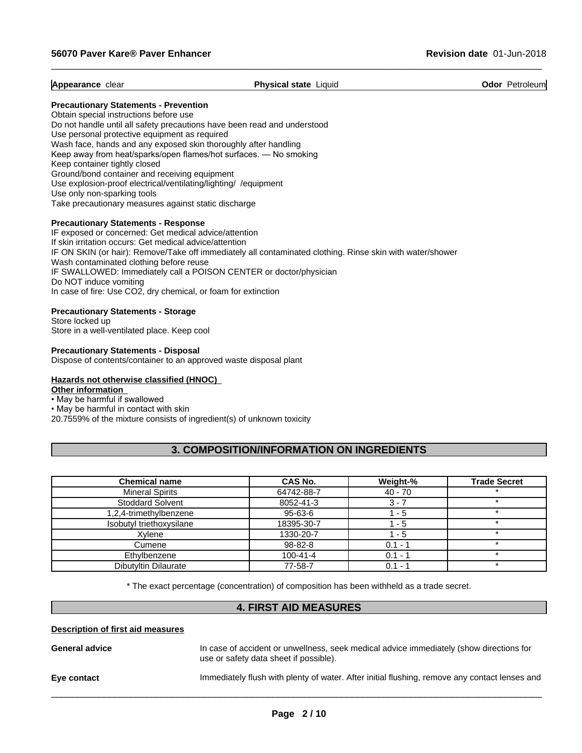**Appearance** clear **Physical state** Liquid **Odor** Petroleum

 $\_$  ,  $\_$  ,  $\_$  ,  $\_$  ,  $\_$  ,  $\_$  ,  $\_$  ,  $\_$  ,  $\_$  ,  $\_$  ,  $\_$  ,  $\_$  ,  $\_$  ,  $\_$  ,  $\_$  ,  $\_$  ,  $\_$  ,  $\_$  ,  $\_$  ,  $\_$  ,  $\_$  ,  $\_$  ,  $\_$  ,  $\_$  ,  $\_$  ,  $\_$  ,  $\_$  ,  $\_$  ,  $\_$  ,  $\_$  ,  $\_$  ,  $\_$  ,  $\_$  ,  $\_$  ,  $\_$  ,  $\_$  ,  $\_$  ,

### **Precautionary Statements - Prevention**

Obtain special instructions before use Do not handle until all safety precautions have been read and understood Use personal protective equipment as required Wash face, hands and any exposed skin thoroughly after handling Keep away from heat/sparks/open flames/hot surfaces. — No smoking Keep container tightly closed Ground/bond container and receiving equipment Use explosion-proof electrical/ventilating/lighting/ /equipment Use only non-sparking tools Take precautionary measures against static discharge

### **Precautionary Statements - Response**

IF exposed or concerned: Get medical advice/attention If skin irritation occurs: Get medical advice/attention IF ON SKIN (or hair): Remove/Take off immediately all contaminated clothing. Rinse skin with water/shower Wash contaminated clothing before reuse IF SWALLOWED: Immediately call a POISON CENTER or doctor/physician Do NOT induce vomiting In case of fire: Use CO2, dry chemical, or foam for extinction

### **Precautionary Statements - Storage**

Store locked up Store in a well-ventilated place. Keep cool

**Precautionary Statements - Disposal** Dispose of contents/container to an approved waste disposal plant

# **Hazards not otherwise classified (HNOC)**

**Other information**

# • May be harmful if swallowed

• May be harmful in contact with skin

20.7559% of the mixture consists of ingredient(s) of unknown toxicity

# **3. COMPOSITION/INFORMATION ON INGREDIENTS**

| <b>Chemical name</b>     | <b>CAS No.</b> | Weight-%  | <b>Trade Secret</b> |
|--------------------------|----------------|-----------|---------------------|
| <b>Mineral Spirits</b>   | 64742-88-7     | $40 - 70$ |                     |
| <b>Stoddard Solvent</b>  | 8052-41-3      | $3 - 7$   |                     |
| 1,2,4-trimethylbenzene   | 95-63-6        | - 5       |                     |
| Isobutyl triethoxysilane | 18395-30-7     | - 5       |                     |
| Xvlene                   | 1330-20-7      | - 5       |                     |
| Cumene                   | 98-82-8        | $0.1 - ?$ |                     |
| Ethylbenzene             | $100 - 41 - 4$ | $0.1 - 1$ |                     |
| Dibutyltin Dilaurate     | 77-58-7        | $0.1 - ?$ |                     |

\* The exact percentage (concentration) ofcomposition has been withheld as a trade secret.

# **4. FIRST AID MEASURES**

### **Description of first aid measures**

| <b>General advice</b> | In case of accident or unwellness, seek medical advice immediately (show directions for<br>use or safety data sheet if possible). |
|-----------------------|-----------------------------------------------------------------------------------------------------------------------------------|
| Eye contact           | Immediately flush with plenty of water. After initial flushing, remove any contact lenses and                                     |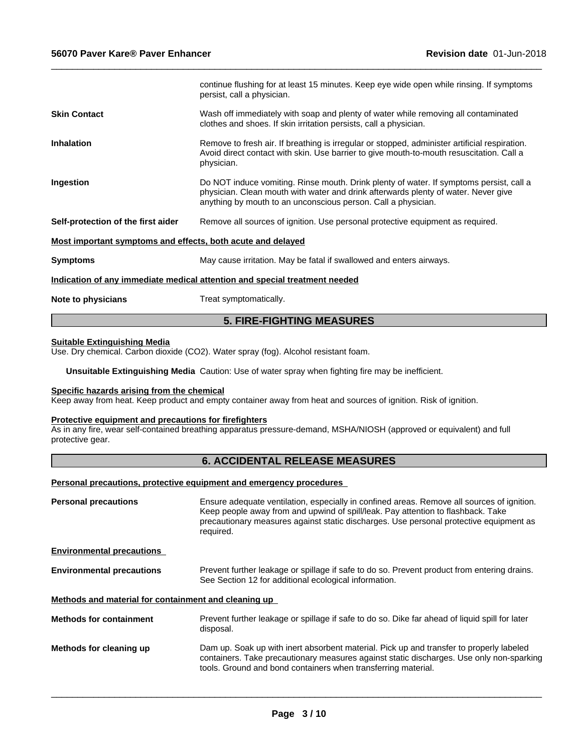|                                                             | continue flushing for at least 15 minutes. Keep eye wide open while rinsing. If symptoms<br>persist, call a physician.                                                                                                                         |  |
|-------------------------------------------------------------|------------------------------------------------------------------------------------------------------------------------------------------------------------------------------------------------------------------------------------------------|--|
| <b>Skin Contact</b>                                         | Wash off immediately with soap and plenty of water while removing all contaminated<br>clothes and shoes. If skin irritation persists, call a physician.                                                                                        |  |
| <b>Inhalation</b>                                           | Remove to fresh air. If breathing is irregular or stopped, administer artificial respiration.<br>Avoid direct contact with skin. Use barrier to give mouth-to-mouth resuscitation. Call a<br>physician.                                        |  |
| Ingestion                                                   | Do NOT induce vomiting. Rinse mouth. Drink plenty of water. If symptoms persist, call a<br>physician. Clean mouth with water and drink afterwards plenty of water. Never give<br>anything by mouth to an unconscious person. Call a physician. |  |
| Self-protection of the first aider                          | Remove all sources of ignition. Use personal protective equipment as required.                                                                                                                                                                 |  |
| Most important symptoms and effects, both acute and delayed |                                                                                                                                                                                                                                                |  |
| <b>Symptoms</b>                                             | May cause irritation. May be fatal if swallowed and enters airways.                                                                                                                                                                            |  |
|                                                             | Indication of any immediate medical attention and special treatment needed                                                                                                                                                                     |  |
| Note to physicians                                          | Treat symptomatically.                                                                                                                                                                                                                         |  |
|                                                             |                                                                                                                                                                                                                                                |  |

 $\_$  ,  $\_$  ,  $\_$  ,  $\_$  ,  $\_$  ,  $\_$  ,  $\_$  ,  $\_$  ,  $\_$  ,  $\_$  ,  $\_$  ,  $\_$  ,  $\_$  ,  $\_$  ,  $\_$  ,  $\_$  ,  $\_$  ,  $\_$  ,  $\_$  ,  $\_$  ,  $\_$  ,  $\_$  ,  $\_$  ,  $\_$  ,  $\_$  ,  $\_$  ,  $\_$  ,  $\_$  ,  $\_$  ,  $\_$  ,  $\_$  ,  $\_$  ,  $\_$  ,  $\_$  ,  $\_$  ,  $\_$  ,  $\_$  ,

# **5. FIRE-FIGHTING MEASURES**

### **Suitable Extinguishing Media**

Use. Dry chemical. Carbon dioxide (CO2). Water spray (fog). Alcohol resistant foam.

**Unsuitable Extinguishing Media** Caution: Use of water spray when fighting fire may be inefficient.

### **Specific hazards arising from the chemical**

Keep away from heat. Keep product and empty container away from heat and sources of ignition. Risk of ignition.

### **Protective equipment and precautions for firefighters**

As in any fire, wear self-contained breathing apparatus pressure-demand, MSHA/NIOSH (approved or equivalent) and full protective gear.

# **6. ACCIDENTAL RELEASE MEASURES**

### **Personal precautions, protective equipment and emergency procedures**

| <b>Personal precautions</b>                          | Ensure adequate ventilation, especially in confined areas. Remove all sources of ignition.<br>Keep people away from and upwind of spill/leak. Pay attention to flashback. Take<br>precautionary measures against static discharges. Use personal protective equipment as<br>required. |
|------------------------------------------------------|---------------------------------------------------------------------------------------------------------------------------------------------------------------------------------------------------------------------------------------------------------------------------------------|
| <b>Environmental precautions</b>                     |                                                                                                                                                                                                                                                                                       |
| <b>Environmental precautions</b>                     | Prevent further leakage or spillage if safe to do so. Prevent product from entering drains.<br>See Section 12 for additional ecological information.                                                                                                                                  |
| Methods and material for containment and cleaning up |                                                                                                                                                                                                                                                                                       |
| <b>Methods for containment</b>                       | Prevent further leakage or spillage if safe to do so. Dike far ahead of liquid spill for later<br>disposal.                                                                                                                                                                           |
| Methods for cleaning up                              | Dam up. Soak up with inert absorbent material. Pick up and transfer to properly labeled<br>containers. Take precautionary measures against static discharges. Use only non-sparking<br>tools. Ground and bond containers when transferring material.                                  |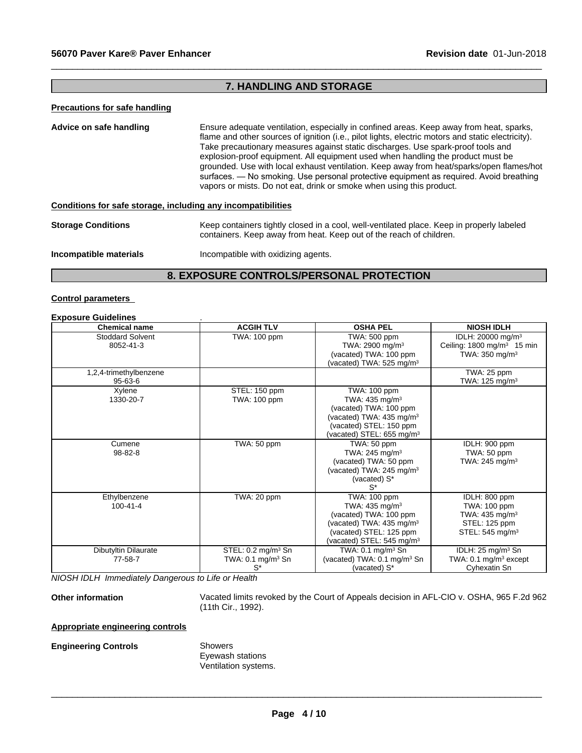# **7. HANDLING AND STORAGE**

 $\_$  ,  $\_$  ,  $\_$  ,  $\_$  ,  $\_$  ,  $\_$  ,  $\_$  ,  $\_$  ,  $\_$  ,  $\_$  ,  $\_$  ,  $\_$  ,  $\_$  ,  $\_$  ,  $\_$  ,  $\_$  ,  $\_$  ,  $\_$  ,  $\_$  ,  $\_$  ,  $\_$  ,  $\_$  ,  $\_$  ,  $\_$  ,  $\_$  ,  $\_$  ,  $\_$  ,  $\_$  ,  $\_$  ,  $\_$  ,  $\_$  ,  $\_$  ,  $\_$  ,  $\_$  ,  $\_$  ,  $\_$  ,  $\_$  ,

### **Precautions for safe handling**

| Advice on safe handling                                      | Ensure adequate ventilation, especially in confined areas. Keep away from heat, sparks,           |
|--------------------------------------------------------------|---------------------------------------------------------------------------------------------------|
|                                                              | flame and other sources of ignition (i.e., pilot lights, electric motors and static electricity). |
|                                                              | Take precautionary measures against static discharges. Use spark-proof tools and                  |
|                                                              | explosion-proof equipment. All equipment used when handling the product must be                   |
|                                                              | grounded. Use with local exhaust ventilation. Keep away from heat/sparks/open flames/hot          |
|                                                              | surfaces. — No smoking. Use personal protective equipment as required. Avoid breathing            |
|                                                              | vapors or mists. Do not eat, drink or smoke when using this product.                              |
|                                                              |                                                                                                   |
| Conditions for safe storage, including any incompatibilities |                                                                                                   |
|                                                              |                                                                                                   |

| <b>Storage Conditions</b> | Keep containers tightly closed in a cool, well-ventilated place. Keep in properly labeled<br>containers. Keep away from heat. Keep out of the reach of children. |
|---------------------------|------------------------------------------------------------------------------------------------------------------------------------------------------------------|
|                           |                                                                                                                                                                  |

**Incompatible materials** Incompatible with oxidizing agents.

# **8. EXPOSURE CONTROLS/PERSONAL PROTECTION**

### **Control parameters**

### **Exposure Guidelines** .

| <b>Chemical name</b>    | <b>ACGIH TLV</b>               | <b>OSHA PEL</b>                         | <b>NIOSH IDLH</b>                     |
|-------------------------|--------------------------------|-----------------------------------------|---------------------------------------|
| <b>Stoddard Solvent</b> | TWA: 100 ppm                   | TWA: 500 ppm                            | IDLH: 20000 mg/m <sup>3</sup>         |
| 8052-41-3               |                                | TWA: 2900 mg/m <sup>3</sup>             | Ceiling: $1800 \text{ mg/m}^3$ 15 min |
|                         |                                | (vacated) TWA: 100 ppm                  | TWA: 350 mg/m <sup>3</sup>            |
|                         |                                | (vacated) TWA: 525 mg/m <sup>3</sup>    |                                       |
| 1,2,4-trimethylbenzene  |                                |                                         | TWA: 25 ppm                           |
| $95 - 63 - 6$           |                                |                                         | TWA: $125 \text{ mg/m}^3$             |
| Xylene                  | STEL: 150 ppm                  | TWA: 100 ppm                            |                                       |
| 1330-20-7               | TWA: 100 ppm                   | TWA: $435 \text{ mg/m}^3$               |                                       |
|                         |                                | (vacated) TWA: 100 ppm                  |                                       |
|                         |                                | (vacated) TWA: 435 mg/m <sup>3</sup>    |                                       |
|                         |                                | (vacated) STEL: 150 ppm                 |                                       |
|                         |                                | (vacated) STEL: 655 mg/m <sup>3</sup>   |                                       |
| Cumene                  | TWA: 50 ppm                    | TWA: 50 ppm                             | IDLH: 900 ppm                         |
| $98 - 82 - 8$           |                                | TWA: 245 mg/m <sup>3</sup>              | TWA: 50 ppm                           |
|                         |                                | (vacated) TWA: 50 ppm                   | TWA: $245 \text{ mg/m}^3$             |
|                         |                                | (vacated) TWA: 245 mg/m <sup>3</sup>    |                                       |
|                         |                                | (vacated) S*                            |                                       |
|                         |                                | $S^*$                                   |                                       |
| Ethylbenzene            | TWA: 20 ppm                    | TWA: 100 ppm                            | IDLH: 800 ppm                         |
| $100 - 41 - 4$          |                                | TWA: 435 mg/m <sup>3</sup>              | TWA: 100 ppm                          |
|                         |                                | (vacated) TWA: 100 ppm                  | TWA: 435 mg/m <sup>3</sup>            |
|                         |                                | (vacated) TWA: 435 mg/m <sup>3</sup>    | STEL: 125 ppm                         |
|                         |                                | (vacated) STEL: 125 ppm                 | STEL: 545 mg/m <sup>3</sup>           |
|                         |                                | vacated) STEL: 545 mg/m <sup>3</sup>    |                                       |
| Dibutyltin Dilaurate    | STEL: 0.2 mg/m <sup>3</sup> Sn | TWA: $0.1 \text{ mg/m}^3$ Sn            | IDLH: $25 \text{ mg/m}^3$ Sn          |
| 77-58-7                 | TWA: $0.1 \text{ mg/m}^3$ Sn   | (vacated) TWA: 0.1 mg/m <sup>3</sup> Sn | TWA: 0.1 mg/m <sup>3</sup> except     |
|                         | $S^*$                          | (vacated) S*                            | Cyhexatin Sn                          |

*NIOSH IDLH Immediately Dangerous to Life or Health*

**Other information** Vacated limits revoked by the Court of Appeals decision in AFL-CIO v.OSHA, 965 F.2d 962 (11th Cir., 1992).

 $\overline{\phantom{a}}$  ,  $\overline{\phantom{a}}$  ,  $\overline{\phantom{a}}$  ,  $\overline{\phantom{a}}$  ,  $\overline{\phantom{a}}$  ,  $\overline{\phantom{a}}$  ,  $\overline{\phantom{a}}$  ,  $\overline{\phantom{a}}$  ,  $\overline{\phantom{a}}$  ,  $\overline{\phantom{a}}$  ,  $\overline{\phantom{a}}$  ,  $\overline{\phantom{a}}$  ,  $\overline{\phantom{a}}$  ,  $\overline{\phantom{a}}$  ,  $\overline{\phantom{a}}$  ,  $\overline{\phantom{a}}$ 

# **Appropriate engineering controls**

# **Engineering Controls** Showers

Eyewash stations Ventilation systems.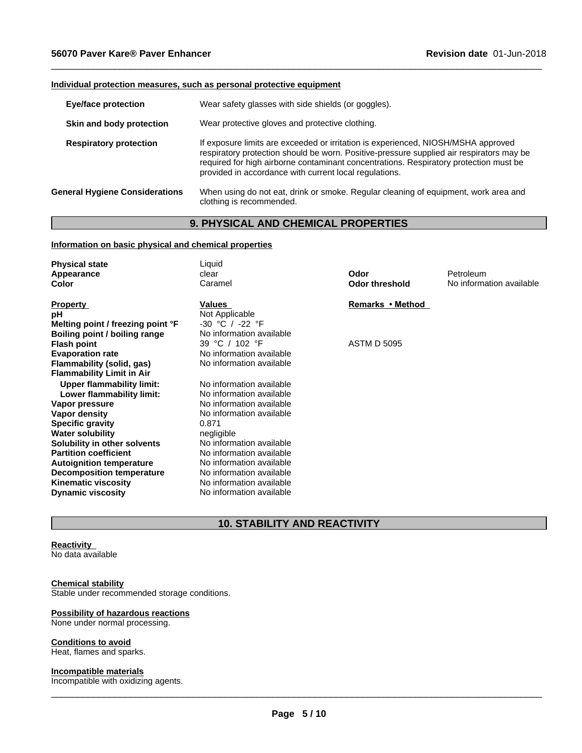# **Individual protection measures, such as personal protective equipment**

| <b>Eye/face protection</b>            | Wear safety glasses with side shields (or goggles).                                                                                                                                                                                                                                                                              |
|---------------------------------------|----------------------------------------------------------------------------------------------------------------------------------------------------------------------------------------------------------------------------------------------------------------------------------------------------------------------------------|
| Skin and body protection              | Wear protective gloves and protective clothing.                                                                                                                                                                                                                                                                                  |
| <b>Respiratory protection</b>         | If exposure limits are exceeded or irritation is experienced, NIOSH/MSHA approved<br>respiratory protection should be worn. Positive-pressure supplied air respirators may be<br>required for high airborne contaminant concentrations. Respiratory protection must be<br>provided in accordance with current local regulations. |
| <b>General Hygiene Considerations</b> | When using do not eat, drink or smoke. Regular cleaning of equipment, work area and<br>clothing is recommended.                                                                                                                                                                                                                  |

 $\_$  ,  $\_$  ,  $\_$  ,  $\_$  ,  $\_$  ,  $\_$  ,  $\_$  ,  $\_$  ,  $\_$  ,  $\_$  ,  $\_$  ,  $\_$  ,  $\_$  ,  $\_$  ,  $\_$  ,  $\_$  ,  $\_$  ,  $\_$  ,  $\_$  ,  $\_$  ,  $\_$  ,  $\_$  ,  $\_$  ,  $\_$  ,  $\_$  ,  $\_$  ,  $\_$  ,  $\_$  ,  $\_$  ,  $\_$  ,  $\_$  ,  $\_$  ,  $\_$  ,  $\_$  ,  $\_$  ,  $\_$  ,  $\_$  ,

# **9. PHYSICAL AND CHEMICAL PROPERTIES**

# **Information on basic physical and chemical properties**

| <b>Physical state</b><br>Appearance<br><b>Color</b>                                                                                                                                                                                                       | Liquid<br>clear<br>Caramel                                                                                                                                                                                              | Odor<br><b>Odor threshold</b> | Petroleum<br>No information available |
|-----------------------------------------------------------------------------------------------------------------------------------------------------------------------------------------------------------------------------------------------------------|-------------------------------------------------------------------------------------------------------------------------------------------------------------------------------------------------------------------------|-------------------------------|---------------------------------------|
| <b>Property</b><br>рH<br>Melting point / freezing point °F<br>Boiling point / boiling range                                                                                                                                                               | Values<br>Not Applicable<br>$-30$ °C / $-22$ °F<br>No information available                                                                                                                                             | Remarks • Method              |                                       |
| <b>Flash point</b><br><b>Evaporation rate</b><br>Flammability (solid, gas)<br><b>Flammability Limit in Air</b>                                                                                                                                            | 39 °C / 102 °F<br>No information available<br>No information available                                                                                                                                                  | <b>ASTM D 5095</b>            |                                       |
| <b>Upper flammability limit:</b><br>Lower flammability limit:<br>Vapor pressure<br>Vapor density<br><b>Specific gravity</b><br><b>Water solubility</b><br>Solubility in other solvents<br><b>Partition coefficient</b><br><b>Autoignition temperature</b> | No information available<br>No information available<br>No information available<br>No information available<br>0.871<br>negligible<br>No information available<br>No information available<br>No information available |                               |                                       |
| <b>Decomposition temperature</b><br><b>Kinematic viscosity</b><br><b>Dynamic viscosity</b>                                                                                                                                                                | No information available<br>No information available<br>No information available                                                                                                                                        |                               |                                       |

# **10. STABILITY AND REACTIVITY**

### **Reactivity**

No data available

### **Chemical stability**

Stable under recommended storage conditions.

### **Possibility of hazardous reactions** None under normal processing.

# **Conditions to avoid**

Heat, flames and sparks.

### **Incompatible materials**

Incompatible with oxidizing agents.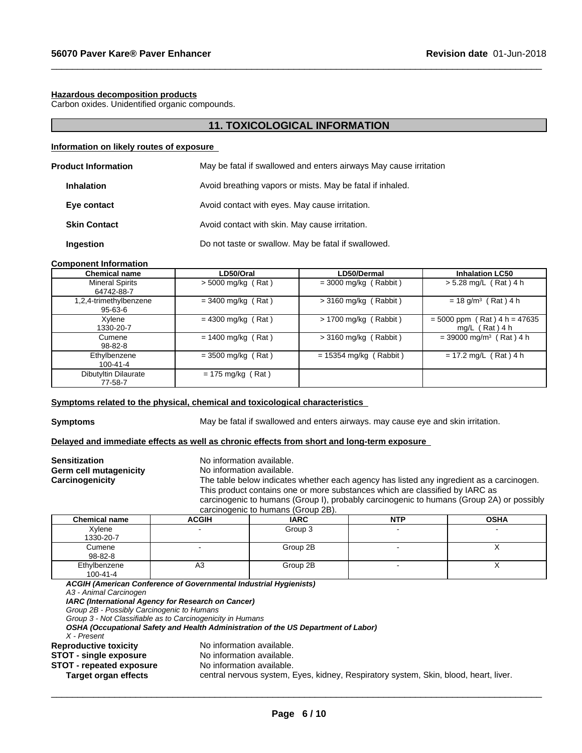### **Hazardous decomposition products**

Carbon oxides. Unidentified organic compounds.

# **11. TOXICOLOGICAL INFORMATION**

 $\_$  ,  $\_$  ,  $\_$  ,  $\_$  ,  $\_$  ,  $\_$  ,  $\_$  ,  $\_$  ,  $\_$  ,  $\_$  ,  $\_$  ,  $\_$  ,  $\_$  ,  $\_$  ,  $\_$  ,  $\_$  ,  $\_$  ,  $\_$  ,  $\_$  ,  $\_$  ,  $\_$  ,  $\_$  ,  $\_$  ,  $\_$  ,  $\_$  ,  $\_$  ,  $\_$  ,  $\_$  ,  $\_$  ,  $\_$  ,  $\_$  ,  $\_$  ,  $\_$  ,  $\_$  ,  $\_$  ,  $\_$  ,  $\_$  ,

# **Information on likely routes of exposure**

| <b>Product Information</b> | May be fatal if swallowed and enters airways May cause irritation |
|----------------------------|-------------------------------------------------------------------|
| <b>Inhalation</b>          | Avoid breathing vapors or mists. May be fatal if inhaled.         |
| Eye contact                | Avoid contact with eyes. May cause irritation.                    |
| <b>Skin Contact</b>        | Avoid contact with skin. May cause irritation.                    |
| Ingestion                  | Do not taste or swallow. May be fatal if swallowed.               |

### **Component Information**

| <b>Chemical name</b>                 | LD50/Oral            | LD50/Dermal              | <b>Inhalation LC50</b>                             |
|--------------------------------------|----------------------|--------------------------|----------------------------------------------------|
| <b>Mineral Spirits</b><br>64742-88-7 | $>$ 5000 mg/kg (Rat) | $=$ 3000 mg/kg (Rabbit)  | $> 5.28$ mg/L (Rat) 4 h                            |
| 1,2,4-trimethylbenzene<br>95-63-6    | $=$ 3400 mg/kg (Rat) | $>$ 3160 mg/kg (Rabbit)  | $= 18$ g/m <sup>3</sup> (Rat) 4 h                  |
| Xylene<br>1330-20-7                  | $= 4300$ mg/kg (Rat) | $> 1700$ mg/kg (Rabbit)  | $= 5000$ ppm (Rat) 4 h = 47635<br>mg/L $(Rat)$ 4 h |
| Cumene<br>$98 - 82 - 8$              | $= 1400$ mg/kg (Rat) | $>$ 3160 mg/kg (Rabbit)  | $=$ 39000 mg/m <sup>3</sup> (Rat) 4 h              |
| Ethylbenzene<br>$100 - 41 - 4$       | $=$ 3500 mg/kg (Rat) | $= 15354$ mg/kg (Rabbit) | $= 17.2$ mg/L (Rat) 4 h                            |
| Dibutyltin Dilaurate<br>77-58-7      | $= 175$ mg/kg (Rat)  |                          |                                                    |

# **<u>Symptoms related to the physical, chemical and toxicological characteristics</u>**

**Symptoms** May be fatal if swallowed and enters airways. may cause eye and skin irritation.

### **Delayed and immediate effects as well as chronic effects from short and long-term exposure**

| <b>Sensitization</b><br>Germ cell mutagenicity<br>Carcinogenicity |              | No information available.<br>No information available.<br>The table below indicates whether each agency has listed any ingredient as a carcinogen.<br>This product contains one or more substances which are classified by IARC as |            |             |  |  |
|-------------------------------------------------------------------|--------------|------------------------------------------------------------------------------------------------------------------------------------------------------------------------------------------------------------------------------------|------------|-------------|--|--|
|                                                                   |              | carcinogenic to humans (Group I), probably carcinogenic to humans (Group 2A) or possibly                                                                                                                                           |            |             |  |  |
|                                                                   |              | carcinogenic to humans (Group 2B).                                                                                                                                                                                                 |            |             |  |  |
| <b>Chemical name</b>                                              | <b>ACGIH</b> | <b>IARC</b>                                                                                                                                                                                                                        | <b>NTP</b> | <b>OSHA</b> |  |  |
| Xvlene<br>1330-20-7                                               |              | Group 3                                                                                                                                                                                                                            |            |             |  |  |
| Cumene                                                            |              | Group 2B                                                                                                                                                                                                                           |            |             |  |  |

| $98 - 82 - 8$                              |                                                                                    |          |  |
|--------------------------------------------|------------------------------------------------------------------------------------|----------|--|
| Ethylbenzene                               | A3                                                                                 | Group 2B |  |
| 100-41-4                                   |                                                                                    |          |  |
|                                            | ACGIH (American Conference of Governmental Industrial Hygienists)                  |          |  |
| A3 - Animal Carcinogen                     |                                                                                    |          |  |
|                                            | IARC (International Agency for Research on Cancer)                                 |          |  |
| Group 2B - Possibly Carcinogenic to Humans |                                                                                    |          |  |
|                                            | Group 3 - Not Classifiable as to Carcinogenicity in Humans                         |          |  |
|                                            | OSHA (Occupational Safety and Health Administration of the US Department of Labor) |          |  |
| X - Present                                |                                                                                    |          |  |
| <b>Reproductive toxicity</b>               | No information available.                                                          |          |  |
| <b>STOT - single exposure</b>              | No information available.                                                          |          |  |

**STOT** - **repeated exposure** No information available.<br> **Target organ effects** central nervous system, I

central nervous system, Eyes, kidney, Respiratory system, Skin, blood, heart, liver.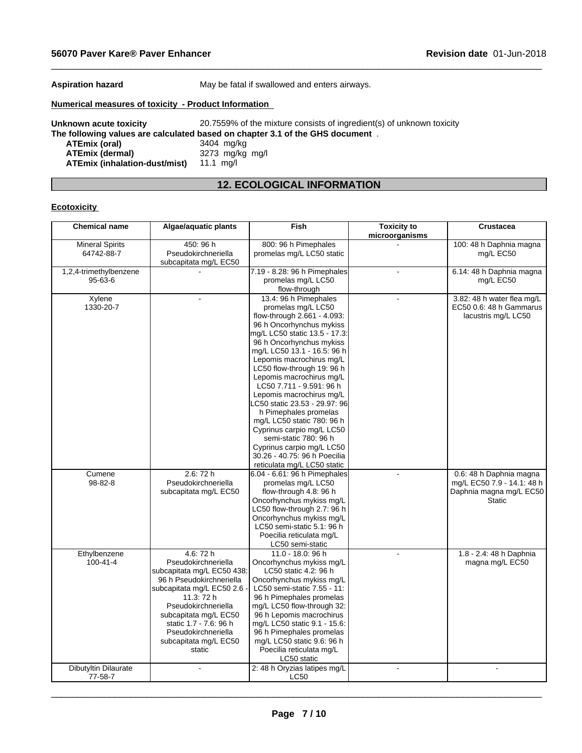**Aspiration hazard** May be fatal if swallowed and enters airways.

 $\_$  ,  $\_$  ,  $\_$  ,  $\_$  ,  $\_$  ,  $\_$  ,  $\_$  ,  $\_$  ,  $\_$  ,  $\_$  ,  $\_$  ,  $\_$  ,  $\_$  ,  $\_$  ,  $\_$  ,  $\_$  ,  $\_$  ,  $\_$  ,  $\_$  ,  $\_$  ,  $\_$  ,  $\_$  ,  $\_$  ,  $\_$  ,  $\_$  ,  $\_$  ,  $\_$  ,  $\_$  ,  $\_$  ,  $\_$  ,  $\_$  ,  $\_$  ,  $\_$  ,  $\_$  ,  $\_$  ,  $\_$  ,  $\_$  ,

# **Numerical measures of toxicity - Product Information**

**Unknown acute toxicity** 20.7559% of the mixture consists of ingredient(s) of unknown toxicity **The following values are calculated based on chapter 3.1 of the GHS document** . **ATEmix (oral)** 3404 mg/kg<br> **ATEmix (dermal)** 3273 mg/kg **ATEmix (dermal)**3273 mg/kg mg/l **ATEmix (inhalation-dust/mist)** 11.1 mg/l

# **12. ECOLOGICAL INFORMATION**

# **Ecotoxicity**

| <b>Chemical name</b>        | Algae/aquatic plants       | Fish                          | <b>Toxicity to</b> | <b>Crustacea</b>           |
|-----------------------------|----------------------------|-------------------------------|--------------------|----------------------------|
|                             |                            |                               | microorganisms     |                            |
| <b>Mineral Spirits</b>      | 450: 96 h                  | 800: 96 h Pimephales          |                    | 100: 48 h Daphnia magna    |
| 64742-88-7                  | Pseudokirchneriella        | promelas mg/L LC50 static     |                    | mg/L EC50                  |
|                             | subcapitata mg/L EC50      |                               |                    |                            |
| 1,2,4-trimethylbenzene      |                            | 7.19 - 8.28: 96 h Pimephales  |                    | 6.14: 48 h Daphnia magna   |
| 95-63-6                     |                            | promelas mg/L LC50            |                    | mg/L EC50                  |
|                             |                            | flow-through                  |                    |                            |
| Xylene                      |                            | 13.4: 96 h Pimephales         |                    | 3.82: 48 h water flea mg/L |
| 1330-20-7                   |                            | promelas mg/L LC50            |                    | EC50 0.6: 48 h Gammarus    |
|                             |                            | flow-through 2.661 - 4.093:   |                    | lacustris mg/L LC50        |
|                             |                            | 96 h Oncorhynchus mykiss      |                    |                            |
|                             |                            | mg/L LC50 static 13.5 - 17.3: |                    |                            |
|                             |                            | 96 h Oncorhynchus mykiss      |                    |                            |
|                             |                            | mg/L LC50 13.1 - 16.5: 96 h   |                    |                            |
|                             |                            | Lepomis macrochirus mg/L      |                    |                            |
|                             |                            | LC50 flow-through 19: 96 h    |                    |                            |
|                             |                            | Lepomis macrochirus mg/L      |                    |                            |
|                             |                            | LC50 7.711 - 9.591: 96 h      |                    |                            |
|                             |                            | Lepomis macrochirus mg/L      |                    |                            |
|                             |                            | C50 static 23.53 - 29.97: 96  |                    |                            |
|                             |                            | h Pimephales promelas         |                    |                            |
|                             |                            | mg/L LC50 static 780: 96 h    |                    |                            |
|                             |                            | Cyprinus carpio mg/L LC50     |                    |                            |
|                             |                            | semi-static 780: 96 h         |                    |                            |
|                             |                            | Cyprinus carpio mg/L LC50     |                    |                            |
|                             |                            | 30.26 - 40.75: 96 h Poecilia  |                    |                            |
|                             |                            | reticulata mg/L LC50 static   |                    |                            |
| Cumene                      | 2.6:72h                    | 6.04 - 6.61: 96 h Pimephales  |                    | 0.6: 48 h Daphnia magna    |
| 98-82-8                     | Pseudokirchneriella        | promelas mg/L LC50            |                    | mg/L EC50 7.9 - 14.1: 48 h |
|                             | subcapitata mg/L EC50      | flow-through 4.8: 96 h        |                    | Daphnia magna mg/L EC50    |
|                             |                            | Oncorhynchus mykiss mg/L      |                    | <b>Static</b>              |
|                             |                            | LC50 flow-through 2.7: 96 h   |                    |                            |
|                             |                            | Oncorhynchus mykiss mg/L      |                    |                            |
|                             |                            | LC50 semi-static 5.1: 96 h    |                    |                            |
|                             |                            | Poecilia reticulata mg/L      |                    |                            |
|                             |                            | LC50 semi-static              |                    |                            |
| Ethylbenzene                | 4.6: 72 h                  | 11.0 - 18.0: 96 h             |                    | 1.8 - 2.4: 48 h Daphnia    |
| $100 - 41 - 4$              | Pseudokirchneriella        | Oncorhynchus mykiss mg/L      |                    | magna mg/L EC50            |
|                             | subcapitata mg/L EC50 438: | LC50 static 4.2: 96 h         |                    |                            |
|                             | 96 h Pseudokirchneriella   | Oncorhynchus mykiss mg/L      |                    |                            |
|                             | subcapitata mg/L EC50 2.6  | LC50 semi-static 7.55 - 11:   |                    |                            |
|                             | 11.3: 72 h                 | 96 h Pimephales promelas      |                    |                            |
|                             | Pseudokirchneriella        | mg/L LC50 flow-through 32:    |                    |                            |
|                             | subcapitata mg/L EC50      | 96 h Lepomis macrochirus      |                    |                            |
|                             | static 1.7 - 7.6: 96 h     | mg/L LC50 static 9.1 - 15.6:  |                    |                            |
|                             | Pseudokirchneriella        | 96 h Pimephales promelas      |                    |                            |
|                             | subcapitata mg/L EC50      | mg/L LC50 static 9.6: 96 h    |                    |                            |
|                             | static                     | Poecilia reticulata mg/L      |                    |                            |
|                             |                            | LC50 static                   |                    |                            |
| <b>Dibutyltin Dilaurate</b> |                            | 2: 48 h Oryzias latipes mg/L  |                    |                            |
| 77-58-7                     |                            | LC50                          |                    |                            |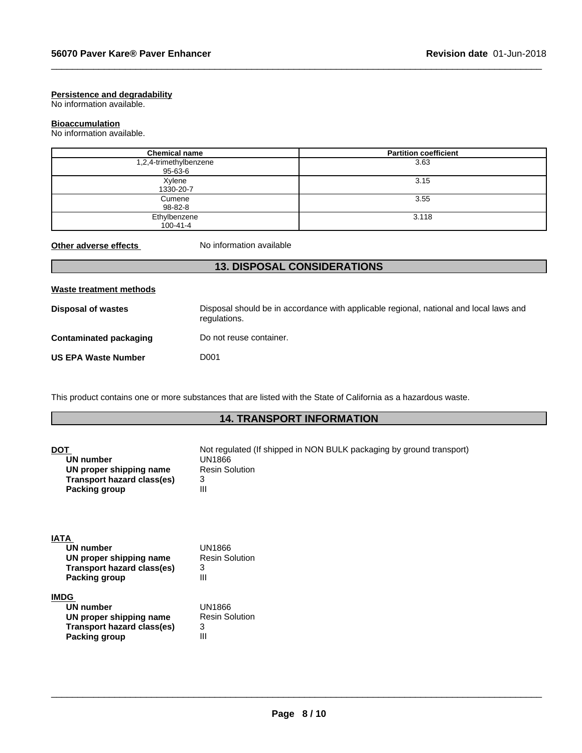### **Persistence and degradability**

No information available.

# **Bioaccumulation**

No information available.

| <b>Chemical name</b>              | <b>Partition coefficient</b> |
|-----------------------------------|------------------------------|
| 1,2,4-trimethylbenzene<br>95-63-6 | 3.63                         |
| Xylene<br>1330-20-7               | 3.15                         |
| Cumene<br>98-82-8                 | 3.55                         |
| Ethylbenzene<br>$100 - 41 - 4$    | 3.118                        |

 $\_$  ,  $\_$  ,  $\_$  ,  $\_$  ,  $\_$  ,  $\_$  ,  $\_$  ,  $\_$  ,  $\_$  ,  $\_$  ,  $\_$  ,  $\_$  ,  $\_$  ,  $\_$  ,  $\_$  ,  $\_$  ,  $\_$  ,  $\_$  ,  $\_$  ,  $\_$  ,  $\_$  ,  $\_$  ,  $\_$  ,  $\_$  ,  $\_$  ,  $\_$  ,  $\_$  ,  $\_$  ,  $\_$  ,  $\_$  ,  $\_$  ,  $\_$  ,  $\_$  ,  $\_$  ,  $\_$  ,  $\_$  ,  $\_$  ,

**Other adverse effects** No information available

# **13. DISPOSAL CONSIDERATIONS**

This product contains one or more substances that are listed with the State of California as a hazardous waste.

# **14. TRANSPORT INFORMATION**

| <b>DOT</b><br>UN number<br>UN proper shipping name<br><b>Transport hazard class(es)</b><br><b>Packing group</b>  | Not regulated (If shipped in NON BULK packaging by ground transport)<br>UN1866<br><b>Resin Solution</b><br>3<br>$\mathbf{III}$ |
|------------------------------------------------------------------------------------------------------------------|--------------------------------------------------------------------------------------------------------------------------------|
| <b>IATA</b><br>UN number<br>UN proper shipping name<br><b>Transport hazard class(es)</b><br><b>Packing group</b> | UN1866<br><b>Resin Solution</b><br>3<br>$\mathbf{III}$                                                                         |
| <b>IMDG</b><br>UN number<br>UN proper shipping name<br><b>Transport hazard class(es)</b><br>Packing group        | UN1866<br><b>Resin Solution</b><br>3<br>$\mathbf{III}$                                                                         |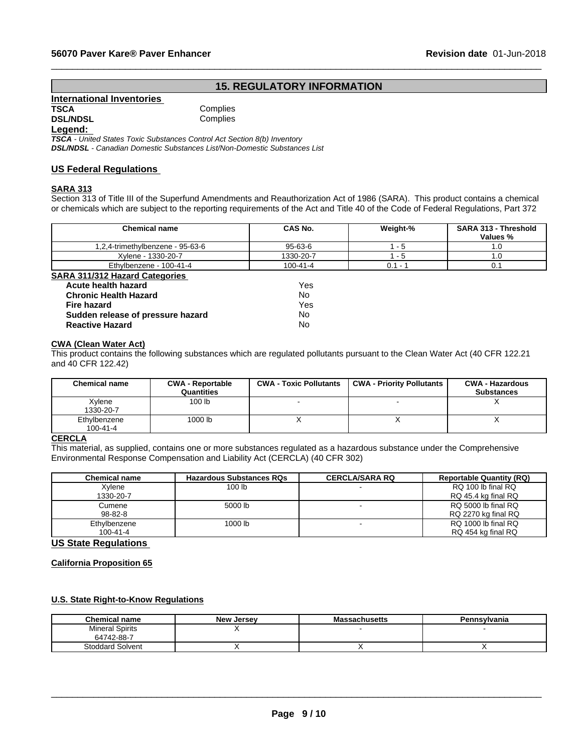# **Revision date 01-Jun-15. REGULATORY INFORMATION**<br>
Inplies<br>
pplies<br>
pplies

 $\_$  ,  $\_$  ,  $\_$  ,  $\_$  ,  $\_$  ,  $\_$  ,  $\_$  ,  $\_$  ,  $\_$  ,  $\_$  ,  $\_$  ,  $\_$  ,  $\_$  ,  $\_$  ,  $\_$  ,  $\_$  ,  $\_$  ,  $\_$  ,  $\_$  ,  $\_$  ,  $\_$  ,  $\_$  ,  $\_$  ,  $\_$  ,  $\_$  ,  $\_$  ,  $\_$  ,  $\_$  ,  $\_$  ,  $\_$  ,  $\_$  ,  $\_$  ,  $\_$  ,  $\_$  ,  $\_$  ,  $\_$  ,  $\_$  ,

| International Inventories |          |
|---------------------------|----------|
| <b>TSCA</b>               | Complies |
| <b>DSL/NDSL</b>           | Complies |

**Complies** 

# **Legend:**

*TSCA - United States Toxic Substances Control Act Section 8(b) Inventory DSL/NDSL - Canadian Domestic Substances List/Non-Domestic Substances List*

# **US Federal Regulations**

# **SARA 313**

Section 313 of Title III of the Superfund Amendments and Reauthorization Act of 1986 (SARA). This product contains a chemical or chemicals which are subject to the reporting requirements of the Act and Title 40 of the Code of Federal Regulations, Part 372

|                                                    | <b>Chemical name</b>                                                                                                         | CAS No.                       | Weight-%                         | SARA 313 - Threshold<br><b>Values %</b>     |
|----------------------------------------------------|------------------------------------------------------------------------------------------------------------------------------|-------------------------------|----------------------------------|---------------------------------------------|
| 1,2,4-trimethylbenzene - 95-63-6                   |                                                                                                                              | $95 - 63 - 6$                 | $1 - 5$                          | 1.0                                         |
|                                                    | Xylene - 1330-20-7                                                                                                           | 1330-20-7                     | $1 - 5$                          | 1.0                                         |
|                                                    | Ethylbenzene - 100-41-4                                                                                                      | 100-41-4                      | $0.1 - 1$                        | 0.1                                         |
| <b>SARA 311/312 Hazard Categories</b>              |                                                                                                                              |                               |                                  |                                             |
| Acute health hazard                                |                                                                                                                              | Yes                           |                                  |                                             |
| <b>Chronic Health Hazard</b>                       |                                                                                                                              | No.                           |                                  |                                             |
| Fire hazard                                        |                                                                                                                              | Yes                           |                                  |                                             |
| Sudden release of pressure hazard                  |                                                                                                                              | No                            |                                  |                                             |
| <b>Reactive Hazard</b>                             |                                                                                                                              | No                            |                                  |                                             |
| <b>CWA (Clean Water Act)</b><br>and 40 CFR 122.42) | This product contains the following substances which are regulated pollutants pursuant to the Clean Water Act (40 CFR 122.21 |                               |                                  |                                             |
| <b>Chemical name</b>                               | <b>CWA - Reportable</b><br>Quantities                                                                                        | <b>CWA - Toxic Pollutants</b> | <b>CWA - Priority Pollutants</b> | <b>CWA - Hazardous</b><br><b>Substances</b> |
| Xylene<br>1330-20-7                                | 100 <sub>lb</sub>                                                                                                            |                               |                                  | Х                                           |

# **CWA (Clean Water Act)**

| <b>Chemical name</b>           | <b>CWA - Reportable</b><br>Quantities | <b>CWA - Toxic Pollutants</b> | <b>CWA - Priority Pollutants</b> | <b>CWA - Hazardous</b><br><b>Substances</b> |
|--------------------------------|---------------------------------------|-------------------------------|----------------------------------|---------------------------------------------|
| Xylene<br>1330-20-7            | 100 <sub>lb</sub>                     |                               | -                                |                                             |
| Ethylbenzene<br>$100 - 41 - 4$ | 1000 lb                               |                               |                                  |                                             |

### **CERCLA**

This material, as supplied, contains one or more substances regulated as a hazardous substance under the Comprehensive Environmental Response Compensation and Liability Act (CERCLA) (40 CFR 302)

| <b>Chemical name</b> | <b>Hazardous Substances RQs</b> | <b>CERCLA/SARA RQ</b> | <b>Reportable Quantity (RQ)</b> |
|----------------------|---------------------------------|-----------------------|---------------------------------|
| Xylene               | 100 lb                          |                       | RQ 100 lb final RQ              |
| 1330-20-7            |                                 |                       | RQ 45.4 kg final RQ             |
| Cumene               | 5000 lb                         |                       | RQ 5000 lb final RQ             |
| $98 - 82 - 8$        |                                 |                       | RQ 2270 kg final RQ             |
| Ethylbenzene         | 1000 lb                         |                       | RQ 1000 lb final RQ             |
| 100-41-4             |                                 |                       | RQ 454 kg final RQ              |

### **US State Regulations**

**California Proposition 65**

### **U.S. State Right-to-Know Regulations**

| <b>Chemical name</b>                 | <b>New Jersey</b> | <b>Massachusetts</b> | Pennsylvania |
|--------------------------------------|-------------------|----------------------|--------------|
| <b>Mineral Spirits</b><br>64742-88-7 |                   |                      |              |
| <b>Stoddard Solvent</b>              |                   |                      |              |

 $\bot$  , and the contribution of the contribution of the contribution of the contribution of the contribution of  $\bot$